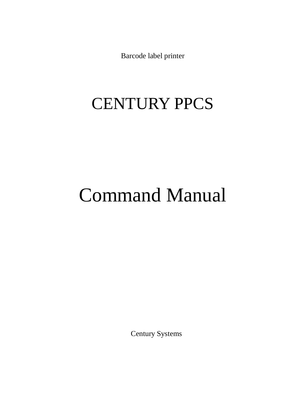Barcode label printer

# CENTURY PPCS

# Command Manual

Century Systems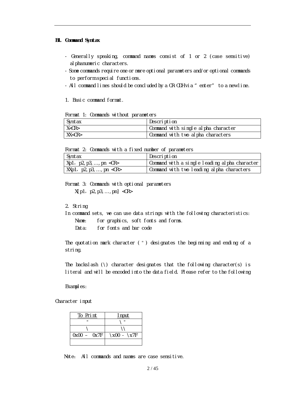#### **B1. Command Syntax**

- Generally speaking, command names consist of 1 or 2 (case sensitive) al phanumeric characters.
- Some commands require one or more optional parameters and/or optional commands to perform special functions.
- All command lines should be concluded by a CR-ODH via "enter" to a new line.

1. Basic command format.

Format 1: Commands without parameters

| Syntax  | Description                         |
|---------|-------------------------------------|
| X < CR  | Command with single alpha character |
| XX < CR | Command with two alpha characters   |

Format 2: Commands with a fixed number of parameters

| Syntax                               | Description                                   |
|--------------------------------------|-----------------------------------------------|
| Xp1,p2,p3,,pn <cr></cr>              | Command with a single leading alpha character |
| $\vert$ XXp1, p2, p3, , pn <cr></cr> | Command with two leading alpha characters     |

Format 3: Commands with optional parameters  $X[p1, p2, p3, ..., pn] <$ CR>

#### 2. String

In command sets, we can use data strings with the following characteristics: Name: for graphics, soft fonts and forms.

Data: for fonts and bar code

The quotation mark character (") designates the beginning and ending of a string.

The backslash  $(\lambda)$  character designates that the following character(s) is literal and will be encoded into the data field. Please refer to the following

Examples:

Character input

| To Print      | Input       |
|---------------|-------------|
| п             | -11         |
|               |             |
| $0x00 - 0x7F$ | \x00 - \x7F |
|               |             |

Note: All commands and names are case sensitive.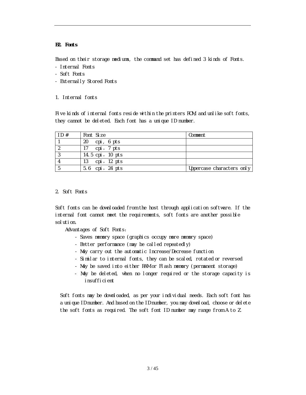#### **B2. Fonts**

Based on their storage mediums, the command set has defined 3 kinds of Fonts.

- Internal Fonts
- Soft Fonts
- Externally Stored Fonts
- 1. Internal fonts

Five kinds of internal fonts reside within the printers ROM, and unlike soft fonts, they cannot be deleted. Each font has a unique ID number.

| ID# | Font Size        | Comment                   |
|-----|------------------|---------------------------|
|     | cpi, 6 pts<br>20 |                           |
|     | cpi, 7 pts<br>17 |                           |
|     | 14.5 cpi, 10 pts |                           |
|     | 13 cpi, 12 pts   |                           |
|     | 5.6 cpi, 24 pts  | Uppercase characters only |

#### 2. Soft Fonts

Soft fonts can be downloaded from the host through application software. If the internal font cannot meet the requirements, soft fonts are another possible solution.

Advantages of Soft Fonts:

- Saves memory space (graphics occupy more memory space)
- Better performance (may be called repeatedly)
- May carry out the automatic Increase/Decrease function
- Similar to internal fonts, they can be scaled, rotated or reversed
- May be saved into either RAM or Flash memory (permanent storage)
- May be deleted, when no longer required or the storage capacity is insufficient

Soft fonts may be downloaded, as per your individual needs. Each soft font has a unique ID number. And based on the ID number, you may download, choose or delete the soft fonts as required. The soft font ID number may range from A to Z.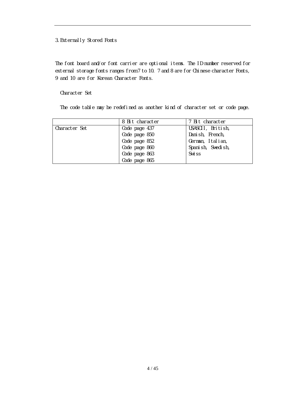### 3.Externally Stored Fonts

The font board and/or font carrier are optional items. The ID number reserved for external storage fonts ranges from 7 to 10. 7 and 8 are for Chinese character Fonts, 9 and 10 are for Korean Character Fonts.

#### Character Set

The code table may be redefined as another kind of character set or code page.

|               | 8 Bit character | 7 Bit character   |
|---------------|-----------------|-------------------|
| Character Set | Code page 437   | USASCII, British, |
|               | Code page 850   | Danish, French,   |
|               | Code page 852   | German, Italian,  |
|               | Code page 860   | Spanish, Swedish, |
|               | Code page 863   | Swi <sub>ss</sub> |
|               | Code page 865   |                   |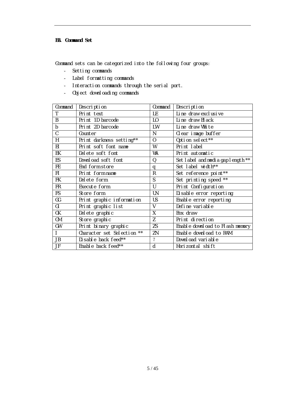#### **B3. Command Set**

Command sets can be categorized into the following four groups:

- Setting commands
- Label formatting commands
- Interaction commands through the serial port.
- Object downloading commands

| Command      | Description                | Command        | Description                       |
|--------------|----------------------------|----------------|-----------------------------------|
| T            | Print text                 | LE             | Line draw exclusive               |
| B            | Print 1D barcode           | L0             | Line draw Black                   |
| $\mathsf b$  | Print 2D barcode           | LW             | Line draw White                   |
| $\mathsf{C}$ | Counter                    | N              | Clear image buffer                |
| H            | Print darkness setting**   | $\overline{0}$ | Option select**                   |
| EI           | Print soft font name       | W              | Print label                       |
| ЕK           | Delete soft font           | WA             | Print automatic                   |
| ES           | Download soft font         | 0              | Set label and media gap length ** |
| FE.          | End form store             | q              | Set label width**                 |
| FI.          | Print form name            | $\mathsf{R}$   | Set reference point**             |
| <b>FK</b>    | Delete form                | S              | Set printing speed **             |
| FR.          | Execute form               | $\mathbf{U}$   | Print Configuration               |
| FS           | Store form                 | UN             | Di sable error reporting          |
| GG           | Print graphic information  | <b>US</b>      | Enable error reporting            |
| GI           | Print graphic list         | V              | Define variable                   |
| GK           | Del ete graphic            | X              | Box draw                          |
| GM           | Store graphic              | Z              | Print direction                   |
| GW           | Print binary graphic       | <b>ZS</b>      | Enable download to Flash memory   |
|              | Character set Selection ** | ZN             | Enable download to RAM            |
| JB           | Disable back feed**        | $\overline{?}$ | Download variable                 |
| JF           | Enable back feed**         | d              | Horizontal shift                  |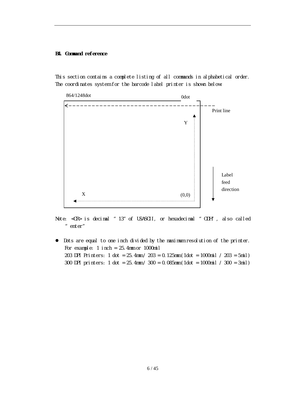#### **B4. Command reference**

This section contains a complete listing of all commands in alphabetical order. The coordinates system for the barcode label printer is shown below:



Note: <CR> is decimal "13"of USASCII, or hexadecimal "ODH", also called "enter"

 Dots are equal to one inch divided by the maximum resolution of the printer. For example: 1 inch = 25.4mm or 1000mil 203 DPI Printers: 1 dot = 25.4mm / 203 = 0.125mm (1dot = 1000mil / 203 = 5mil) 300 DPI printers: 1 dot = 25.4mm / 300 = 0.085mm (1dot = 1000mil / 300 = 3mil)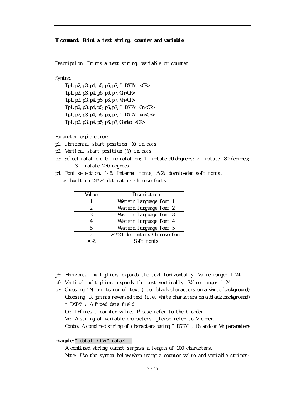#### **T command: Print a text string, counter and variable**

Description: Prints a text string, variable or counter.

#### Syntax:

Tp1, p2, p3, p4, p5, p6, p7, " $DATA$ " <CR> Tp1,p2,p3,p4,p5,p6,p7,Cn<CR> Tp1,p2,p3,p4,p5,p6,p7,Vn<CR> Tp1, p2, p3, p4, p5, p6, p7,  $"$  DATA $"$  Cn<CR> Tp1, p2, p3, p4, p5, p6, p7,  $"$  DATA" Vn<CR> Tp1,p2,p3,p4,p5,p6,p7,Combo <CR>

Parameter explanation:

- p1: Horizontal start position (X) in dots.
- p2: Vertical start position (Y) in dots.
- p3: Select rotation. 0 no rotation; 1 rotate 90 degrees; 2 rotate 180 degrees; 3 - rotate 270 degrees.
- p4: Font selection. 1-5: Internal fonts; A-Z: downloaded soft fonts.
	- a: built-in 24\*24 dot matrix Chinese fonts.

| Val ue  | Description                   |
|---------|-------------------------------|
|         | Western language font 1       |
| 2       | Western language font 2       |
| 3       | Western language font 3       |
| 4       | Western language font 4       |
| 5       | Western language font 5       |
| a       | 24*24 dot matrix Chinese font |
| $A - Z$ | Soft fonts                    |
|         |                               |
|         |                               |
|         |                               |

- p5: Horizontal multiplier,expands the text horizontally. Value range: 1-24
- p6: Vertical multiplier, expands the text vertically. Value range: 1-24
- p7: Choosing 'N' prints normal text (i.e. black characters on a white background) Choosing 'R' prints reversed text (i.e. white characters on a black background) "DATA": A fixed data field.
	- Cn: Defines a counter value. Please refer to the C order

Vn: A string of variable characters; please refer to V order.

Combo: A combined string of characters using " DATA", Cn and/or Vn parameters

Example: "data1" CnVn" data2".

A combined string cannot surpass a length of 100 characters. Note: Use the syntax below when using a counter value and variable strings: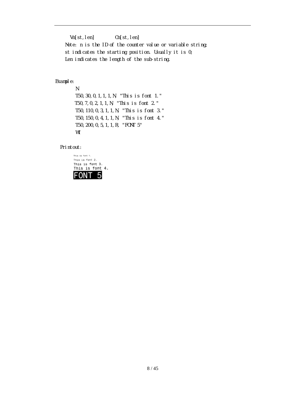Vn[st,len] Cn[st,len] Note: n is the ID of the counter value or variable string; st indicates the starting position. Usually it is 0; Len indicates the length of the sub-string.

#### Example:

N T50,30,0,1,1,1,N, "This is font 1." T50,7,0,2,1,1,N, "This is font 2." T50,110,0,3,1,1,N, "This is font 3." T50,150,0,4,1,1,N, "This is font 4." T50,200,0,5,1,1,R, "FONT 5" W1

#### Printout:

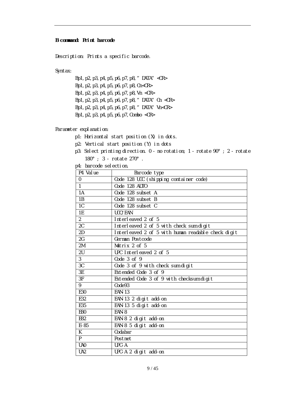#### **B command: Print barcode**

Description: Prints a specific barcode.

Syntax:

Bp1,p2,p3,p4,p5,p6,p7,p8,"DATA"<CR> Bp1,p2,p3,p4,p5,p6,p7,p8,Cn<CR> Bp1,p2,p3,p4,p5,p6,p7,p8,Vn <CR> Bp1, p2, p3, p4, p5, p6, p7, p8, "DATA" Cn <CR> Bp1, p2, p3, p4, p5, p6, p7, p8, " DATA" Vn<CR> Bp1,p2,p3,p4,p5,p6,p7,Combo <CR>

Parameter explanation:

- p1: Horizontal start position (X) in dots.
- p2: Vertical start position (Y) in dots
- p3: Select printing direction. 0 no rotation; 1 rotate 90°; 2 rotate 180°; 3 - rotate 270°.
- p4: barcode selection.

| P4 Value                 | Barcode type                                       |
|--------------------------|----------------------------------------------------|
| $\Omega$                 | Code 128 UCC (shipping container code)             |
| $\mathbf{1}$             | Code 128 AUTO                                      |
| 1A                       | Code 128 subset A                                  |
| 1B                       | Code 128 subset B                                  |
| $\overline{1C}$          | Code 128 subset C                                  |
| 1E                       | UCC/EAN                                            |
| $\overline{2}$           | Interleaved 2 of 5                                 |
| 2C                       | Interleaved 2 of 5 with check sum digit            |
| 2D                       | Interleaved 2 of 5 with human readable check digit |
| 2G                       | German Postcode                                    |
| 2M                       | Matrix 2 of 5                                      |
| 2U                       | UPC Interleaved 2 of 5                             |
| $\overline{3}$           | Code 3 of 9                                        |
| 3C                       | Code 3 of 9 with check sum digit                   |
| 3E                       | Extended Code 3 of 9                               |
| $\overline{\mathsf{3F}}$ | Extended Code 3 of 9 with checksum digit           |
| $\overline{9}$           | Code93                                             |
| E30                      | <b>EAN-13</b>                                      |
| E32                      | EAN-13 2 digit add-on                              |
| E35                      | EAN-13 5 digit add-on                              |
| E80                      | EAN-8                                              |
| E82                      | EAN-8 2 digit add-on                               |
| $E-85$                   | EAN-8 5 digit add-on                               |
| K                        | Codabar                                            |
| P.                       | Postnet                                            |
| UA0                      | UPC-A                                              |
| UA <sub>2</sub>          | UPC-A 2 digit add-on                               |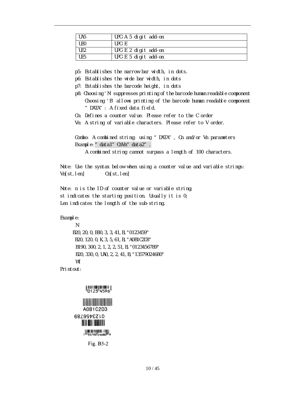| UA <sub>5</sub> | UPC-A 5 digit add-on |
|-----------------|----------------------|
| <b>UEO</b>      | $IIPC-F$             |
| UE <sub>2</sub> | UPC-E 2 digit add-on |
| UE5             | UPC-E 5 digit add-on |

p5: Establishes the narrow bar width, in dots.

- p6: Establishes the wide bar width, in dots
- p7: Establishes the barcode height, in dots
- p8: Choosing 'N' suppresses printing of the barcode human readable component Choosing 'B' allows printing of the barcode human readable component "DATA": A fixed data field.
- Cn: Defines a counter value. Please refer to the C order
- Vn: A string of variable characters. Please refer to V order.

Combo: A combined string; using "DATA", Cn and/or Vn parameters Example: "data1" CnVn" data2".

A combined string cannot surpass a length of 100 characters.

Note: Use the syntax below when using a counter value and variable strings: Vn[st,len] Cn[st,len]

Note: n is the ID of counter value or variable string; st indicates the starting position. Usually it is 0; Len indicates the length of the sub-string.

Example:

```
N
B20,20,0,E80,3,3,41,B,"0123459"
B20,120,0,K,3,5,61,B,"A0B1C2D3"
 B190,300,2,1,2,2,51,B,"0123456789"
 B20,330,0,UA0,2,2,41,B,"13579024680"
 W1
```
Printout:



0123456789 **BA ALL ABLITA** |||||||||||||||||||||||||||<br>|<sup>||||</sup>35790<sup>|</sup>24680<sup>|||</sup>9

Fig. B5-2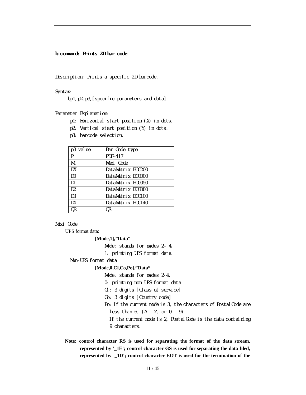#### **b command: Prints 2D bar code**

Description: Prints a specific 2D barcode.

Syntax:

bp1,p2,p3,[specific parameters and data]

Parameter Explanation:

- p1: Horizontal start position (X) in dots.
- p2: Vertical start position (Y) in dots.
- p3: barcode selection.

| p3 value       | Bar Code type     |
|----------------|-------------------|
| P              | <b>PDF-417</b>    |
| M              | Maxi Code         |
| DX             | DataMatrix ECC200 |
| DO.            | DataMatrix ECCOOO |
| D1             | DataMatrix ECCO50 |
| D <sub>2</sub> | DataMatrix ECC080 |
| D <sub>3</sub> | DataMatrix ECC100 |
| D4             | DataMatrix ECC140 |
| 0R             | 0R                |

#### *Maxi Code*

UPS format data:

#### **[Mode,1],"Data"**

Mode: stands for modes 2-4.

1: printing UPS format data.

Non-UPS format data

#### **[Mode,0,Cl,Co,Po],"Data"**

Mode: stands for modes 2-4.

0: printing non UPS format data

Cl: 3 digits [Class of service]

- Co: 3 digits [Country code]
- Po: If the current mode is 3, the characters of Postal Code are less than 6. (A - Z, or 0 - 9)

If the current mode is 2, Postal Code is the data containing 9 characters.

**Note: control character RS is used for separating the format of the data stream, represented by '\_1E'; control character GS is used for separating the data filed, represented by '\_1D'; control character EOT is used for the termination of the**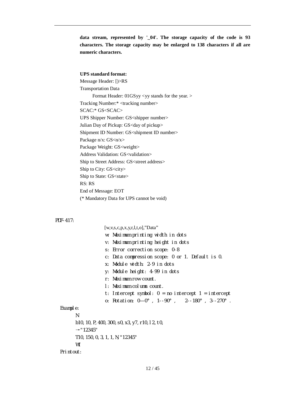**data stream, represented by '\_04'. The storage capacity of the code is 93 characters. The storage capacity may be enlarged to 138 characters if all are numeric characters.**

#### **UPS standard format:**

Message Header: [)>RS Transportation Data Format Header: 01GSyy <yy stands for the year. > Tracking Number:\* <tracking number> SCAC:\* GS<SCAC> UPS Shipper Number: GS<shipper number> Julian Day of Pickup: GS<day of pickup> Shipment ID Number: GS<shipment ID number> Package n/x: GS<n/x> Package Weight: GS<weight> Address Validation: GS<validation> Ship to Street Address: GS<street address> Ship to City: GS<city> Ship to State: GS<state> RS: RS End of Message: EOT (\* Mandatory Data for UPS cannot be void)

#### *PDF-417:*

 $[w, v, s, c, p, x, y, r, l, t, o]$ ,"Data" w: Maximum printing width in dots v: Maximum printing height in dots s: Error correction scope: 0-8 c: Data compression scope: 0 or 1. Default is 0. x: Module width: 2-9 in dots y: Module height: 4-99 in dots r: Maximum row count. l: Maximum column count. t: Intercept symbol:  $0 = no$  intercept  $1 =$  intercept o: Rotation: 0—0°, 1--90°, 2--180°, 3--270°. Example: N b10,10,P,400,300,s0,x3,y7,r10,l2,t0, →"12345" T10,150,0,3,1,1,N,"12345" W1 Printout: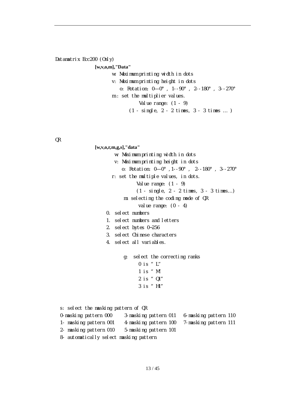## *Datamatrix Ecc200 (Only)* **[w,v,o,m],"Data"**

- w: Maximum printing width in dots
- v: Maximum printing height in dots o: Rotation: 0—0°, 1--90°, 2--180°, 3--270°
- m : set the multiplier values.
	- Value range:  $(1 9)$
	- (1 single, 2 2 times, 3 3 times … )

*QR*

**[w,v,o,r,m,g,s],"data"** w: Maximum printing width in dots v: Maximum printing height in dots o: Rotation: 0—0°,1--90°, 2--180°, 3--270° r: set the multiple values, in dots. Value range:  $(1 - 9)$ (1 - single, 2 - 2 times, 3 - 3 times…) m: selecting the coding mode of QR value range:  $(0 - 4)$ 0. select numbers 1. select numbers and letters 2. select bytes 0~256 3. select Chinese characters 4. select all variables. g: select the correcting ranks 0 is "L" 1 is "M" 2 is "Q1" 3 is "H1" s: select the masking pattern of QR 0-masking pattern 000 3-masking pattern 011 6-masking pattern 110 1- masking pattern 001 4-masking pattern 100 7-masking pattern 111 2- masking pattern 010 5-masking pattern 101 8- automatically select masking pattern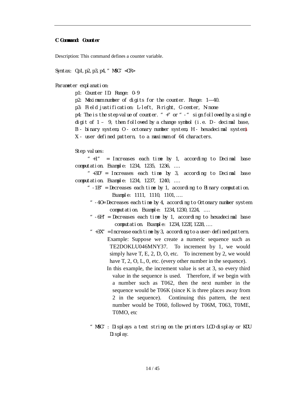#### **C Command: Counter**

Description: This command defines a counter variable.

Syntax: Cp1,p2,p3,p4,"MSG"<CR>

Parameter explanation:

p1: Counter ID. Range: 0-9

p2: Maximum number of digits for the counter. Range: 1—40.

p3: Field justification: L-left, R-right, C-center, N-none

p4: The is the step value of counter.  $" +"$  or  $" -"$  sign followed by a single

digit of  $1 - 9$ , then followed by a change symbol (i.e.  $D -$  decimal base,

B - binary system, O - octonary number system, H - hexadecimal system)

X - user defined pattern, to a maximum of 64 characters.

Step values:

 $*$  +1" = Increases each time by 1, according to Decimal base computation. Example: 1234, 1235, 1236, ….

 $*$  +3D" = Increases each time by 3, according to Decimal base computation. Example: 1234, 1237, 1240, ….

- " $-1B''$  = Decreases each time by 1, according to Binary computation. Example: 1111, 1110, 1101,….
	- "-4O= Decreases each time by 4, according to Octonary number system computation. Example: 1234,1230,1224, ….
	- "-6H"= Decreases each time by 1, according to hexadecimal base computation. Example: 1234,122E,1228,….
	- $*$  +3X" = Increase each time by 3, according to a user-defined pattern. Example: Suppose we create a numeric sequence such as TE2DOKLU046MNY37. To increment by 1, we would simply have T, E, 2, D, O, etc. To increment by 2, we would have T, 2, O, L, 0, etc. (every other number in the sequence).
		- In this example, the increment value is set at 3, so every third value in the sequence is used. Therefore, if we begin with a number such as T062, then the next number in the sequence would be T06K (since K is three places away from 2 in the sequence). Continuing this pattern, the next number would be T060, followed by T06M, T063, T0ME, T0MO, etc
	- "MSG": Displays a text string on the printers LCD display or KDU Display.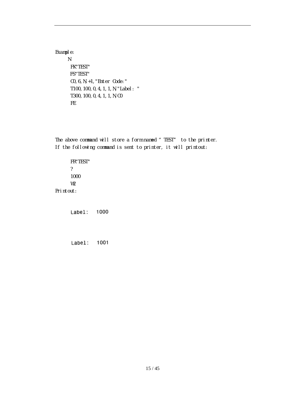Example: N FK"TEST" FS"TEST" C0,6,N,+1,"Enter Code:" T100,100,0,4,1,1,N,"Label: " T300,100,0,4,1,1,N,C0 FE

The above command will store a form named "TEST" to the printer. If the following command is sent to printer, it will printout:

FR"TEST" ? 1000 W2 Printout:

> Label: 1000

> 1001 Label: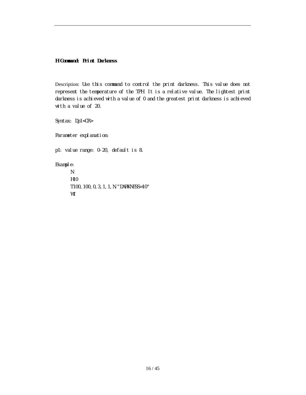**H Command: Print Darkness**

Description: Use this command to control the print darkness. This value does not represent the temperature of the TPH. It is a relative value. The lightest print darkness is achieved with a value of 0 and the greatest print darkness is achieved with a value of 20.

Syntax: Dp1<CR>

Parameter explanation:

p1: value range: 0-20, default is 8.

Example:

N H10 T100,100,0,3,1,1,N,"DARKNESS=10" W1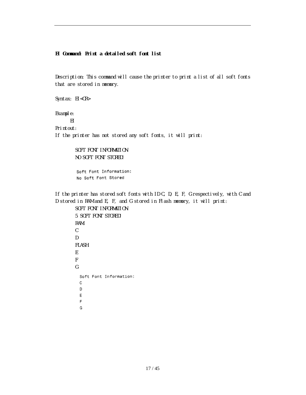#### **EI Command: Print a detailed soft font list**

G

Description: This command will cause the printer to print a list of all soft fonts that are stored in memory.

```
Syntax: EI<CR>
Example:
     EI
Printout:
If the printer has not stored any soft fonts, it will print:
        SOFT FONT INFORMATION:
        NO SOFT FONT STORED!
        Soft Font Information:
        No Soft Font Stored
If the printer has stored soft fonts with ID C, D, E, F, G respectively, with C and
D stored in RAM and E, F, and G stored in Flash memory, it will print:
        SOFT FONT INFORMATION:
        5 SOFT FONT STORED!
        RAM:
        C
        D
        FLASH:
        E
        F
        GSoft Font Information:
          с
          D
          Ε
          F
```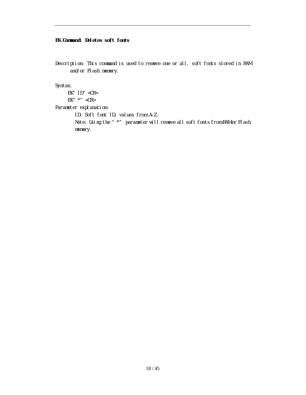#### **EK Command: Deletes soft fonts**

Description: This command is used to remove one or all, soft fonts stored in RAM and/or Flash memory.

Syntax:

EK" ID" <CR>

EK"  $*$ " <CR>

Parameter explanation:

ID: Soft font ID, values from A-Z.

Note: Using the " \*" parameter will remove all soft fonts from RAM or Flash memory.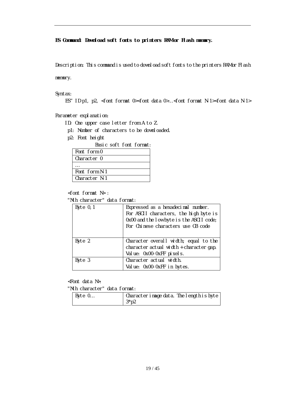**ES Command: Download soft fonts to printers RAM or Flash memory.**

Description: This command is used to download soft fonts to the printers RAM or Flash

memory.

Syntax:

ES"ID p1, p2, <font format 0><font data 0>…<font format N-1><font data N-1>

Parameter explanation:

ID: One upper case letter from A to Z.

p1: Number of characters to be downloaded.

p2: Font height

Basic soft font format:

| Font form 0   |  |
|---------------|--|
| Character 0   |  |
|               |  |
| Font form N-1 |  |
| Character N-1 |  |

<font format N> :

"Nth character" data format:

| Byte $0, 1$ | Expressed as a hexadecimal number.       |  |  |
|-------------|------------------------------------------|--|--|
|             | For ASCII characters, the high byte is   |  |  |
|             | 0x00 and the low byte is the ASCII code; |  |  |
|             | For Chinese characters use GB code       |  |  |
|             |                                          |  |  |
| Byte 2      | Character overall width; equal to the    |  |  |
|             | character actual width + character gap.  |  |  |
|             | Value: 0x00-0xFF pixels.                 |  |  |
| Byte 3      | Character actual width.                  |  |  |
|             | Value: 0x00-0xFF in bytes.               |  |  |

<Font data N>:

"Nth character" data format:

| Byte 0 | Character image data. The length is byte |  |
|--------|------------------------------------------|--|
|        | $3*p2$                                   |  |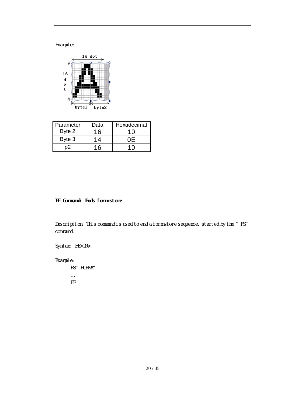Example:



| Parameter | Data | Hexadecimal |
|-----------|------|-------------|
| Byte 2    | 16   | 10          |
| Byte 3    | 14   |             |
|           | 16   |             |

### **FE Command: Ends form store**

Description: This command is used to end a form store sequence, started by the "FS" command.

Syntax: FE<CR>

Example:

FS" FORMA" … FE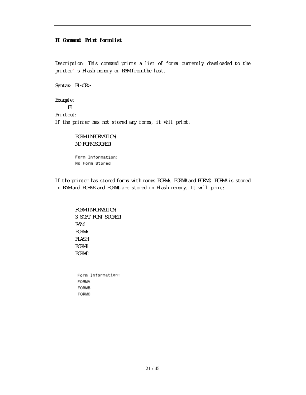#### **FI Command: Print form list**

Description: This command prints a list of forms currently downloaded to the printer's Flash memory or RAM from the host.

Syntax: FI<CR>

Example: FI Printout: If the printer has not stored any forms, it will print:

> FORM INFORMATION: NO FORM STORED!

Form Information: No Form Stored

If the printer has stored forms with names FORMA, FORMB and FORMC. FORMA is stored in RAM and FORMB and FORMC are stored in Flash memory. It will print:

FORM INFORMATION: 3 SOFT FONT STORED! RAM: FORMA FLASH: FORMB FORMC

Form Information: FORMA FORMB FORMC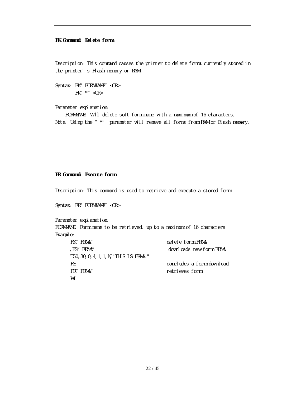#### **FK Command: Delete form**

Description: This command causes the printer to delete forms currently stored in the printer's Flash memory or RAM.

Syntax: FK" FORMNAME" <CR> FK"  $*$ " <CR>

Parameter explanation:

FORMNAME: Will delete soft form name with a maximum of 16 characters. Note: Using the "\*" parameter will remove all forms from RAM or Flash memory.

#### **FR Command: Execute form**

Description: This command is used to retrieve and execute a stored form.

Syntax: FR" FORMNAME" <CR>

Parameter explanation:

FORMNAME: Form name to be retrieved, up to a maximum of 16 characters Example:

| FK" FRMA"                               | delete form FRMA          |
|-----------------------------------------|---------------------------|
| FS" FRMA"                               | downloads new form FRMA   |
| T50, 30, 0, 4, 1, 1, N, "THIS IS FRMA." |                           |
| -FF                                     | concludes a form download |
| FR" FRMA"                               | retrieves form            |
| W1                                      |                           |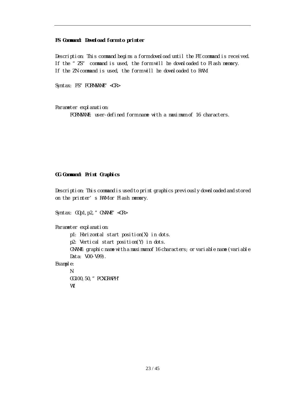#### **FS Command: Download form to printer**

Description: This command begins a form download until the FE command is received. If the "ZS" command is used, the form will be downloaded to Flash memory. If the ZN command is used, the form will be downloaded to RAM.

Syntax: FS" FORMNAME" <CR>

Parameter explanation: FORMNAME: user-defined form name with a maximum of 16 characters.

#### **GG Command: Print Graphics**

Description: This command is used to print graphics previously downloaded and stored on the printer's RAM or Flash memory.

```
Syntax: GGp1, p2, " GNAME" <CR>
Parameter explanation:
      p1: Horizontal start position(X) in dots.
      p2: Vertical start position(Y) in dots.
      GNAME: graphic name with a maximum of 16 characters; or variable name (variable
      Data: V00-V99).
Example:
      N
```
GG100,50,"PCXGRAPH" W1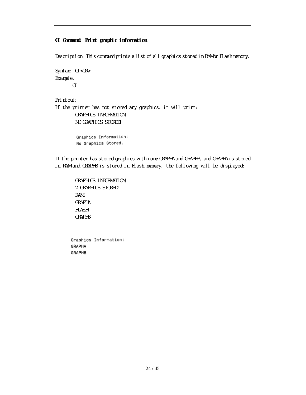#### **GI Command: Print graphic information**

Description: This command prints a list of all graphics stored in RAM or Flash memory.

Syntax: GI<CR> Example: GI

Printout:

If the printer has not stored any graphics, it will print: GRAPHICS INFORMATION: NO GRAPHICS STORED!

> Graphics Information: No Graphics Stored.

If the printer has stored graphics with name GRAPHA and GRAPHB, and GRAPHA is stored in RAM and GRAPHB is stored in Flash memory, the following will be displayed:

GRAPHICS INFORMATION: 2 GRAPHICS STORED! RAM: GRAPHA FLASH: GRAPHB

Graphics Information: GRAPHA GRAPHB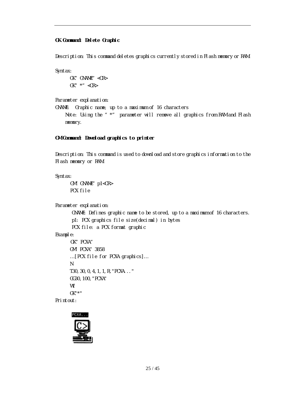#### **GK Command: Delete Graphic**

Description: This command deletes graphics currently stored in Flash memory or RAM.

Syntax:

GK" GNAME" <CR>  $GK''$  \*" <CR>

Parameter explanation:

GNAME: Graphic name; up to a maximum of 16 characters Note: Using the " \*" parameter will remove all graphics from RAM and Flash memory.

#### **GM Command: Download graphics to printer**

Description: This command is used to download and store graphics information to the Flash memory or RAM.

Syntax:

GM" GNAME" p1<CR> PCX file

Parameter explanation:

GNAME: Defines graphic name to be stored, up to a maximum of 16 characters. p1: PCX graphics file size(decimal) in bytes PCX file: a PCX format graphic

Example:

```
GK" PCXA"
GM"PCXA"3858
…[PCX file for PCXA graphics]…
N
T30,30,0,4,1,1,R,"PCXA..."
GG30,100,"PCXA"
W1
GK"*"
```
Printout:

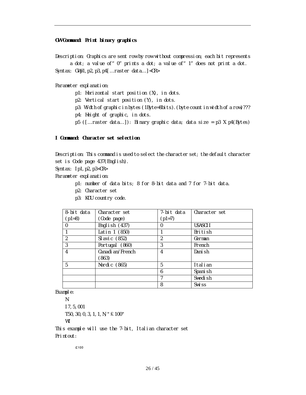#### **GW Command: Print binary graphics**

Description: Graphics are sent row by row without compression; each bit represents a dot; a value of "0" prints a dot; a value of "1" does not print a dot. Syntax: GWp1,p2,p3,p4[…raster data…]<CR>

Parameter explanation:

p1: Horizontal start position (X), in dots.

p2: Vertical start position (Y), in dots.

p3: Width of graphic in bytes (1Byte=8bits).(byte count in width of a row)???

p4: Height of graphic, in dots.

p5 ([…raster data…]): Binary graphic data; data size = p3 X p4(Bytes)

#### **I Command: Character set selection**

Description: This command is used to select the character set; the default character set is Code page 437(English).

Syntax: Ip1,p2,p3<CR>

Parameter explanation:

- p1: number of data bits; 8 for 8-bit data and 7 for 7-bit data.
- p2: Character set
- p3: KDU country code.

| 8-bit data     | Character set             | 7-bit data | Character set     |
|----------------|---------------------------|------------|-------------------|
| $(p1=8)$       | (Code page)               | $(p1=7)$   |                   |
| $\Omega$       | English $(437)$           | 0          | USASCI I          |
|                | Latin 1 (850)             |            | British           |
| $\mathfrak{D}$ | Sl avic (852)             | 2          | German            |
| 3              | Portugal (860)            | 3          | French            |
| 4              | Canadi an/French<br>(863) | 4          | Danish            |
| 5              | Nordic (865)              | 5          | Italian           |
|                |                           | 6          | Spani sh          |
|                |                           |            | Swedish           |
|                |                           | 8          | Swi <sub>ss</sub> |

Example:

N I7,5,001 T50,30,0,3,1,1,N,"£100" W1 This example will use the 7-bit, Italian character set

Printout:

£100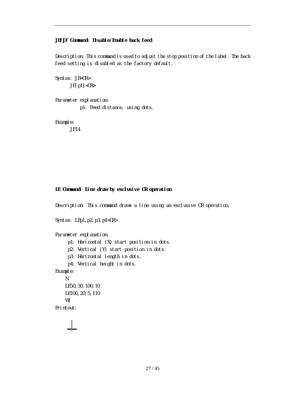#### **JB/JF Command: Disable/Enable back feed**

Description: This command is used to adjust the stop position of the label. The back feed setting is disabled as the factory default.

Syntax: JB<CR>  $JF[p1]$ 

Parameter explanation:

p1: Feed distance, using dots.

Example:

JF14

#### **LE Command: Line draw by exclusive OR operation**

Description: This command draws a line using an exclusive OR operation.

Syntax: LEp1, p2, p3, p4<CR> Parameter explanation: p1: Horizontal (X) start position in dots. p2: Vertical (Y) start position in dots. p3: Horizontal length in dots. p4: Vertical height in dots. Example: N LE50,30,100,10 LE100,20,5,110 W1 Printout: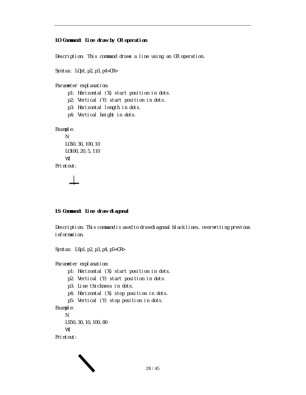#### **LO Command: Line draw by OR operation**

Description: This command draws a line using an OR operation.

Syntax: L0p1, p2, p3, p4<CR> Parameter explanation: p1: Horizontal (X) start position in dots. p2: Vertical (Y) start position in dots. p3: Horizontal length in dots. p4: Vertical height in dots. Example: N LO50,30,100,10 LO100,20,5,110 W1 Printout:

#### **LS Command: Line draw diagonal**

Description: This command is used to draw diagonal black lines, overwriting previous information.

Syntax: LSp1, p2, p3, p4, p5<CR>

Parameter explanation:

- p1: Horizontal (X) start position in dots.
- p2: Vertical (Y) start position in dots.
- p3: Line thickness in dots.
- p4: Horizontal (X) stop position in dots.
- p5: Vertical (Y) stop position in dots.

```
Example:
```
N LS50,30,10,100,80 W1

Printout:

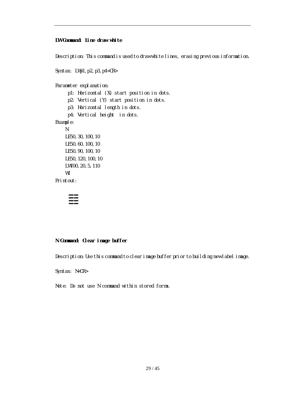#### **LW Command: Line draw white**

Description: This command is used to draw white lines, erasing previous information.

```
Syntax: LWp1, p2, p3, p4<CR>
Parameter explanation:
     p1: Horizontal (X) start position in dots.
     p2: Vertical (Y) start position in dots.
     p3: Horizontal length in dots.
     p4: Vertical height in dots.
Example:
    N
   LE50,30,100,10
   LE50,60,100,10
   LE50,90,100,10
    LE50,120,100,10
   LW100,20,5,110
    W1
Printout:
```
## ≣≣

#### **N Command: Clear image buffer**

Description: Use this command to clear image buffer prior to building new label image.

Syntax: N<CR>

Note: Do not use N command within stored forms.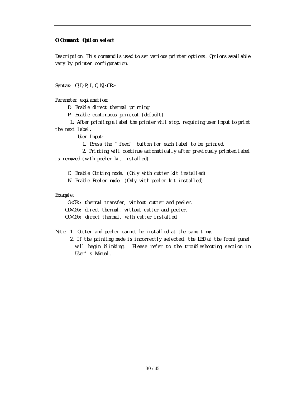#### **O Command: Option select**

Description: This command is used to set various printer options. Options available vary by printer configuration.

Syntax: O[D, P, L, C, N]<CR>

Parameter explanation:

D: Enable direct thermal printing

P: Enable continuous printout.(default)

L: After printing a label the printer will stop, requiring user input to print the next label.

User Input:

1. Press the "feed" button for each label to be printed.

2. Printing will continue automatically after previously printed label is removed (with peeler kit installed)

C: Enable Cutting mode. (Only with cutter kit installed)

N: Enable Peeler mode. (Only with peeler kit installed)

Example:

O<CR>: thermal transfer, without cutter and peeler. OD<CR>: direct thermal, without cutter and peeler. OC<CR>: direct thermal, with cutter installed

Note: 1. Cutter and peeler cannot be installed at the same time.

2. If the printing mode is incorrectly selected, the LED at the front panel will begin blinking. Please refer to the troubleshooting section in User's Manual.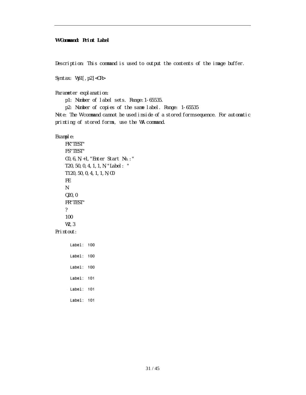#### **W Command: Print Label**

Description: This command is used to output the contents of the image buffer.

Syntax: Wp1[, p2]<CR>

Parameter explanation:

p1: Number of label sets. Range:1-65535.

p2: Number of copies of the same label. Range: 1-65535

Note: The W command cannot be used inside of a stored form sequence. For automatic printing of stored forms, use the WA command.

Example:

FK"TEST" FS"TEST" C0,6,N,+1,"Enter Start No.:" T20,50,0,4,1,1,N,"Label: " T120,50,0,4,1,1,N,C0 FE N Q20,0 FR"TEST" ? 100 W<sub>2</sub>.3

Printout:

Label: 100  $Label: 100$ Label: 100 Label: 101  $Label: 101$ Label: 101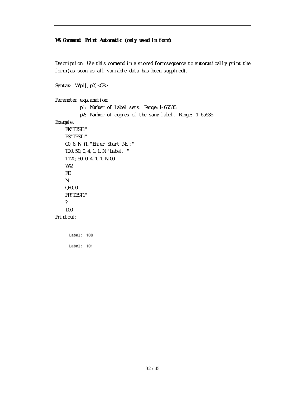#### **WA Command: Print Automatic (only used in form)**

Description: Use this command in a stored form sequence to automatically print the form (as soon as all variable data has been supplied).

Syntax: WAp1[, p2]<CR>

Parameter explanation:

p1: Number of label sets. Range:1-65535. p2: Number of copies of the same label. Range: 1-65535 Example: FK"TEST1" FS"TEST1" C0,6,N,+1,"Enter Start No.:" T20,50,0,4,1,1,N,"Label: " T120,50,0,4,1,1,N,C0 WA2 FE N Q20,0 FR"TEST1" ? 100 Printout: $Label: 100$ 

Label: 101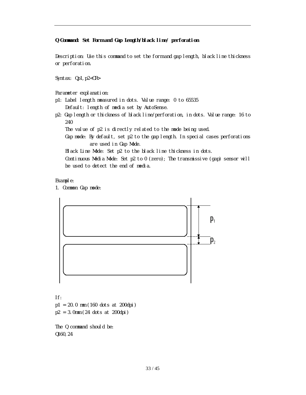#### **Q Command: Set Form and Gap Length/black line/ perforation**

Description: Use this command to set the form and gap length, black line thickness or perforation.

Syntax: Qp1,p2<CR>

Parameter explanation:

- p1: Label length measured in dots. Value range: 0 to 65535 Default: length of media set by AutoSense.
- p2: Gap length or thickness of black line/perforation, in dots. Value range: 16 to 240

The value of p2 is directly related to the mode being used.

Gap mode: By default, set p2 to the gap length. In special cases perforations are used in Gap Mode.

Black Line Mode: Set p2 to the black line thickness in dots.

Continuous Media Mode: Set p2 to 0 (zero); The transmissive (gap) sensor will be used to detect the end of media.

Example:

1. Common Gap mode:



If:

p1 = 20.0 mm (160 dots at 200dpi) p2 = 3.0mm (24 dots at 200dpi)

The Q command should be: Q160,24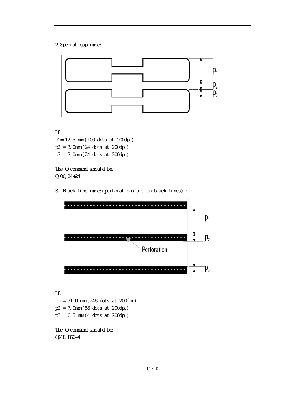2.Special gap mode:



If:

p1= 12.5 mm (100 dots at 200dpi) p2 = 3.0mm (24 dots at 200dpi) p3 = 3.0mm (24 dots at 200dpi)

The Q command should be: Q100,24+24

3. Black line mode:(perforations are on black lines) :



If: p1 = 31.0 mm (248 dots at 200dpi) p2 = 7.0mm (56 dots at 200dpi) p3 = 0.5 mm (4 dots at 200dpi)

The Q command should be: Q248,B56+4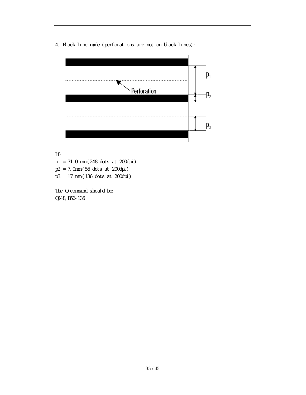4. Black line mode (perforations are not on black lines):



If:

p1 = 31.0 mm (248 dots at 200dpi)

p2 = 7.0mm (56 dots at 200dpi)

p3 = 17 mm (136 dots at 200dpi)

The Q command should be: Q248,B56-136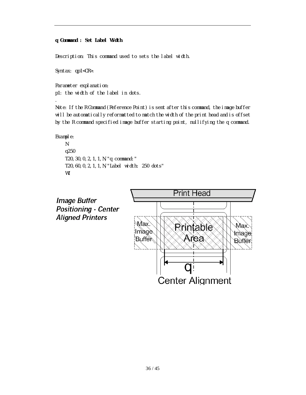#### **q Command : Set Label Width**

Description: This command used to sets the label width.

Syntax: qp1<CR>.

*.*

Parameter explanation: p1: the width of the label in dots.

Note: If the R Command (Reference Point) is sent after this command, the image buffer will be automatically reformatted to match the width of the print head and is offset by the R command specified image buffer starting point, nullifying the q command.

```
Example:
    N
    q250
    T20,30,0,2,1,1,N,"q command:"
    T20,60,0,2,1,1,N,"Label width: 250 dots"
    W1
```
**Image Buffer Positioning - Center Aligned Printers** 

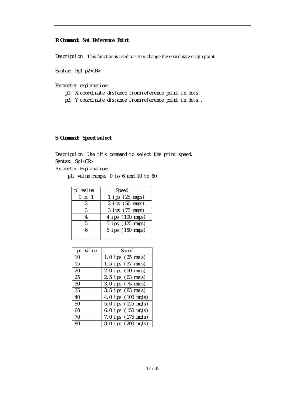#### **R Command: Set Reference Point**

Description: This function is used to set or change the coordinate origin point.

Syntax: Rp1, p2<CR>

Parameter explanation:

- p1: X coordinate distance from reference point in dots.
- p2: Y coordinate distance from reference point in dots..

#### **S Command: Speed select**

Description: Use this command to select the print speed. Syntax: Sp1<CR>

Parameter Explanation:

p1: value range: 0 to 6 and 10 to 80

| p1 value   | Speed               |
|------------|---------------------|
| $0$ or $1$ | $1$ ips $(25$ mmps) |
| 2          | $2$ ips $(50$ mmps) |
| 3          | 3 ips (75 mmps)     |
|            | 4 ips (100 mmps)    |
| 5          | 5 ips (125 mmps)    |
| h          | 6 ips (150 mmps)    |
|            |                     |

| p1 Value | Speed                          |
|----------|--------------------------------|
| 10       | 1.0 ips (25 mm/s)              |
| 15       | 1.5 ips (37 mm/s)              |
| 20       | 2.0 ips (50 mm/s)              |
| 25       | 2.5 ips $(63 \, \text{mm/s})$  |
| 30       | 3.0 ips (75 mm/s)              |
| 35       | $3.5$ ips $(83$ mm/s)          |
| 40       | 4.0 ips (100 mm/s)             |
| 50       | 5.0 ips (125 mm/s)             |
| 60       | 6.0 ips (150 mm/s)             |
| 70       | 7.0 ips $(175 \, \text{mm/s})$ |
| 80       | 8.0 ips (200 mm/s)             |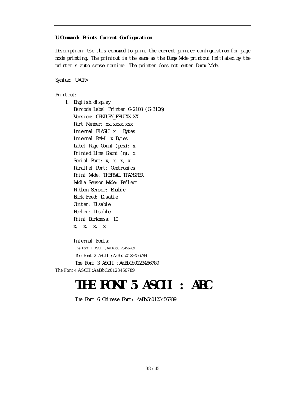#### **U Command: Prints Current Configuration**

Description: Use this command to print the current printer configuration for page mode printing. The printout is the same as the Dump Mode printout initiated by the printer's auto sense routine. The printer does not enter Dump Mode.

Syntax: U<CR>

Printout:

1、 English display Barcode Label Printer G-2108 (G-3106) Version: CENTURY PPLIXX.XX Part Number: xx.xxxx.xxx Internal FLASH: x Bytes Internal RAM: x Bytes Label Page Count (pcx): x Printed Line Count (m): x Serial Port: x, x, x, x Parallel Port: Centronics Print Mode: THERMAL TRANSFER Media Sensor Mode: Reflect Ribbon Sensor: Enable Back Feed: Disable Cutter: Disable Peeler: Disable Print Darkness: 10 x, x, x, x

Internal Fonts: The Font 1 ASCII : AaBbCc0123456789 The Font 2 ASCII ;AaBbCc0123456789 The Font 3 ASCII ; AaBbCc0123456789 The Font 4 ASCII ;AaBbCc0123456789

## **THE FONT 5 ASCII : ABC**

The Font 6 Chinese Font: AaBbCc0123456789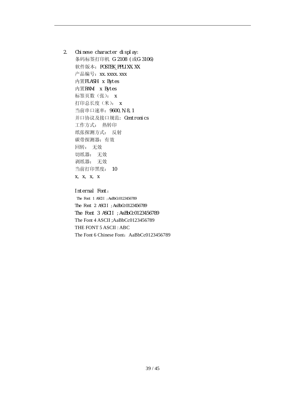2. Chinese character display: 条码标签打印机 G-2108 (或G-3106) 软件版本: POSTEK\_PPLIXX.XX 产品编号: xx. xxxx. xxx 内置FLASH:x Bytes 内置RAM: x Bytes 标签页数(张): x 打印总长度(米): x 当前串口速率:9600,N,8,1 并口协议及接口规范: Centronics 工作方式: 热转印 纸张探测方式: 反射 碳带探测器:有效 回转: 无效 切纸器: 无效 剥纸器: 无效 当前打印黑度: 10 x, x, x, x

> Internal Font: The Font 1 ASCII ; AaBbCc0123456789 The Font 2 ASCII ;AaBbCc0123456789 The Font 3 ASCII ; AaBbCc0123456789 The Font 4 ASCII ;AaBbCc0123456789 THE FONT 5 ASCII : ABC The Font 6 Chinese Font: AaBbCc0123456789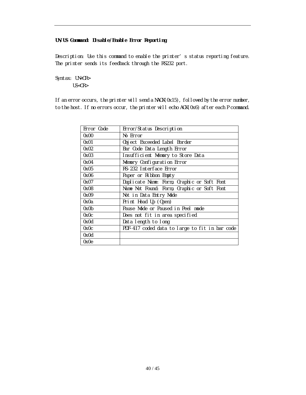#### **UN/US Command: Disable/Enable Error Reporting**

Description: Use this command to enable the printer's status reporting feature. The printer sends its feedback through the RS232 port.

Syntax: UN<CR>

US<CR>

If an error occurs, the printer will send a NACK(0x15), followed by the error number, to the host. If no errors occur, the printer will echo ACK(0x6) after each P command.

| Error Code | Error/Status Description                       |
|------------|------------------------------------------------|
| 0x00       | No Error                                       |
| 0x01       | Object Exceeded Label Border                   |
| 0x02       | Bar Code Data Length Error                     |
| 0x03       | Insufficient Memory to Store Data              |
| 0x04       | Memory Configuration Error                     |
| 0x05       | RS-232 Interface Error                         |
| 0x06       | Paper or Ribbon Empty                          |
| 0x07       | Duplicate Name: Form, Graphic or Soft Font     |
| 0x08       | Name Not Found: Form, Graphic or Soft Font     |
| 0x09       | Not in Data Entry Mode                         |
| 0x0a       | Print Head Up (Open)                           |
| 0x0b       | Pause Mode or Paused in Peel mode              |
| 0x0c       | Does not fit in area specified                 |
| 0x0d       | Data length to long                            |
| 0x0c       | PDF-417 coded data to large to fit in bar code |
| 0x0d       |                                                |
| 0x0e       |                                                |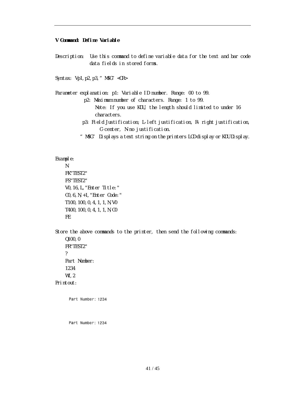#### **V Command: Define Variable**

Description: Use this command to define variable data for the text and bar code data fields in stored forms.

Syntax: Vp1, p2, p3, " MSG" <CR>

Parameter explanation: p1: Variable ID number. Range: 00 to 99. p2: Maximum number of characters. Range: 1 to 99. Note: If you use KDU, the length should limited to under 16 characters. p3: Field Justification; L-left justification, R- right justification, C-center, N-no justification.

"MSG" Displays a text string on the printers LCD display or KDU Display.

#### Example:

```
N
FK"TEST2"
FS"TEST2"
V0,16,L,"Enter Title:"
C0,6,N,+1,"Enter Code:"
T100,100,0,4,1,1,N,V0
T400,100,0,4,1,1,N,C0
FE
```
Store the above commands to the printer, then send the following commands: Q100,0 FR"TEST2" ? Part Number: 1234 W<sub>1</sub>.2 Printout:

Part Number: 1234

Part Number: 1234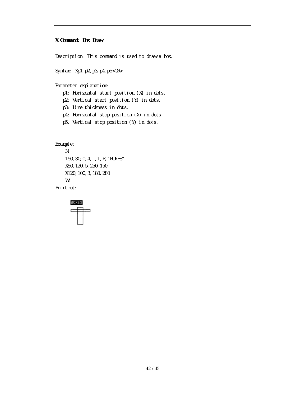#### **X Command: Box Draw**

Description: This command is used to draw a box.

Syntax: Xp1, p2, p3, p4, p5<CR>

Parameter explanation:

- p1: Horizontal start position (X) in dots.
- p2: Vertical start position (Y) in dots.
- p3: Line thickness in dots.
- p4: Horizontal stop position (X) in dots.
- p5: Vertical stop position (Y) in dots.

Example:

N T50,30,0,4,1,1,R,"BOXES" X50,120,5,250,150 X120,100,3,180,280 W1 Printout:

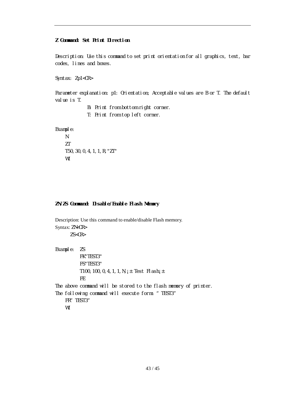#### **Z Command: Set Print Direction**

Description: Use this command to set print orientation for all graphics, text, bar codes, lines and boxes.

Syntax: Zp1<CR>

Parameter explanation: p1: Orientation; Acceptable values are B or T. The default value is T.

B: Print from bottom right corner.

T: Print from top left corner.

Example:

N 7T T50,30,0,4,1,1,R,"ZT" W1

#### **ZN/ZS Command: Disable/Enable Flash Memory**

Description: Use this command to enable/disable Flash memory. Syntax: ZN<CR>  $ZS < CR$ Example: ZS FK"TEST3" FS"TEST3" T100, 100, 0, 4, 1, 1, N,  $i \pm$  Test Flash $i \pm$ FE The above command will be stored to the flash memory of printer. The following command will execute form: "TEST3" FR" TEST3" W1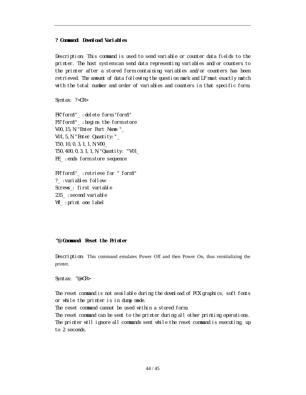#### **? Command: Download Variables**

Description: This command is used to send variable or counter data fields to the printer. The host system can send data representing variables and/or counters to the printer after a stored form containing variables and/or counters has been retrieved. The amount of data following the question mark and LF must exactly match with the total number and order of variables and counters in that specific form.

Syntax: ?<CR>

FK"form1"\_ :delete form "form1" FS"form1"\_ :begins the form store V00,15,N,"Enter Part Name:"\_ V01, 5, N, "Enter Quantity:" T50,10,0,3,1,1,N,V00\_ T50,400,0,3,1,1,N,"Quantity: "V01\_ FE\_ :ends form store sequence

FR"form1"\_ : retrieve for " form1" ?\_ :variables follow Screws\_: first variable 235\_: second variable W1\_ :print one label

#### **^@ Command: Reset the Printer**

Description: This command emulates Power Off and then Power On, thus reinitializing the printer.

Syntax: ^@<CR>

The reset command is not available during the download of PCX graphics, soft fonts or while the printer is in dump mode.

The reset command cannot be used within a stored form.

The reset command can be sent to the printer during all other printing operations. The printer will ignore all commands sent while the reset command is executing, up to 2 seconds.